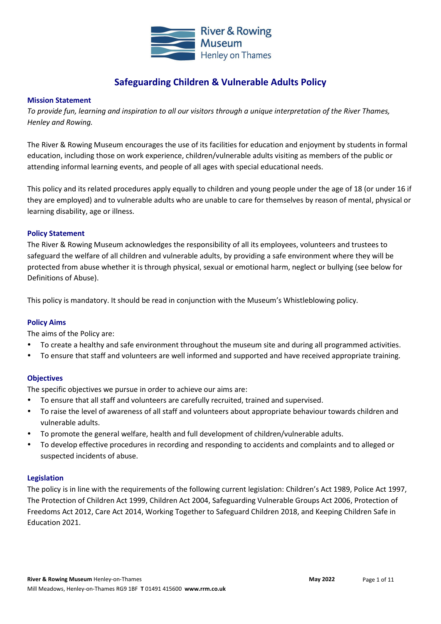

## **Safeguarding Children & Vulnerable Adults Policy**

#### **Mission Statement**

*To provide fun, learning and inspiration to all our visitors through a unique interpretation of the River Thames, Henley and Rowing.*

The River & Rowing Museum encourages the use of its facilities for education and enjoyment by students in formal education, including those on work experience, children/vulnerable adults visiting as members of the public or attending informal learning events, and people of all ages with special educational needs.

This policy and its related procedures apply equally to children and young people under the age of 18 (or under 16 if they are employed) and to vulnerable adults who are unable to care for themselves by reason of mental, physical or learning disability, age or illness.

#### **Policy Statement**

The River & Rowing Museum acknowledges the responsibility of all its employees, volunteers and trustees to safeguard the welfare of all children and vulnerable adults, by providing a safe environment where they will be protected from abuse whether it is through physical, sexual or emotional harm, neglect or bullying (see below for Definitions of Abuse).

This policy is mandatory. It should be read in conjunction with the Museum's Whistleblowing policy.

#### **Policy Aims**

The aims of the Policy are:

- To create a healthy and safe environment throughout the museum site and during all programmed activities.
- To ensure that staff and volunteers are well informed and supported and have received appropriate training.

#### **Objectives**

The specific objectives we pursue in order to achieve our aims are:

- To ensure that all staff and volunteers are carefully recruited, trained and supervised.
- To raise the level of awareness of all staff and volunteers about appropriate behaviour towards children and vulnerable adults.
- To promote the general welfare, health and full development of children/vulnerable adults.
- To develop effective procedures in recording and responding to accidents and complaints and to alleged or suspected incidents of abuse.

#### **Legislation**

The policy is in line with the requirements of the following current legislation: Children's Act 1989, Police Act 1997, The Protection of Children Act 1999, Children Act 2004, Safeguarding Vulnerable Groups Act 2006, Protection of Freedoms Act 2012, Care Act 2014, Working Together to Safeguard Children 2018, and Keeping Children Safe in Education 2021.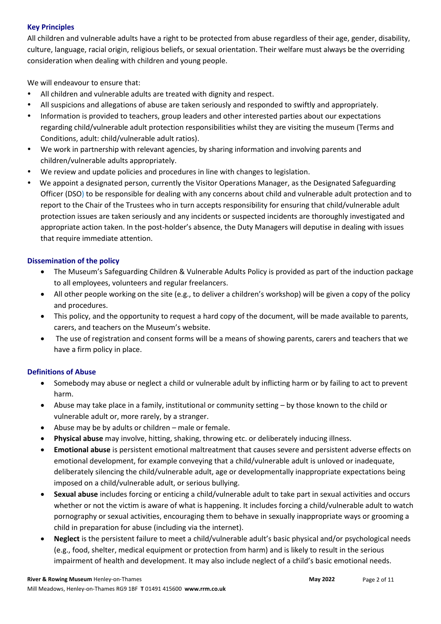## **Key Principles**

All children and vulnerable adults have a right to be protected from abuse regardless of their age, gender, disability, culture, language, racial origin, religious beliefs, or sexual orientation. Their welfare must always be the overriding consideration when dealing with children and young people.

We will endeavour to ensure that:

- All children and vulnerable adults are treated with dignity and respect.
- All suspicions and allegations of abuse are taken seriously and responded to swiftly and appropriately.
- Information is provided to teachers, group leaders and other interested parties about our expectations regarding child/vulnerable adult protection responsibilities whilst they are visiting the museum (Terms and Conditions, adult: child/vulnerable adult ratios).
- We work in partnership with relevant agencies, by sharing information and involving parents and children/vulnerable adults appropriately.
- We review and update policies and procedures in line with changes to legislation.
- We appoint a designated person, currently the Visitor Operations Manager, as the Designated Safeguarding Officer (DSO) to be responsible for dealing with any concerns about child and vulnerable adult protection and to report to the Chair of the Trustees who in turn accepts responsibility for ensuring that child/vulnerable adult protection issues are taken seriously and any incidents or suspected incidents are thoroughly investigated and appropriate action taken. In the post-holder's absence, the Duty Managers will deputise in dealing with issues that require immediate attention.

## **Dissemination of the policy**

- The Museum's Safeguarding Children & Vulnerable Adults Policy is provided as part of the induction package to all employees, volunteers and regular freelancers.
- All other people working on the site (e.g., to deliver a children's workshop) will be given a copy of the policy and procedures.
- This policy, and the opportunity to request a hard copy of the document, will be made available to parents, carers, and teachers on the Museum's website.
- The use of registration and consent forms will be a means of showing parents, carers and teachers that we have a firm policy in place.

## **Definitions of Abuse**

- Somebody may abuse or neglect a child or vulnerable adult by inflicting harm or by failing to act to prevent harm.
- Abuse may take place in a family, institutional or community setting by those known to the child or vulnerable adult or, more rarely, by a stranger.
- Abuse may be by adults or children male or female.
- **Physical abuse** may involve, hitting, shaking, throwing etc. or deliberately inducing illness.
- **Emotional abuse** is persistent emotional maltreatment that causes severe and persistent adverse effects on emotional development, for example conveying that a child/vulnerable adult is unloved or inadequate, deliberately silencing the child/vulnerable adult, age or developmentally inappropriate expectations being imposed on a child/vulnerable adult, or serious bullying.
- **Sexual abuse** includes forcing or enticing a child/vulnerable adult to take part in sexual activities and occurs whether or not the victim is aware of what is happening. It includes forcing a child/vulnerable adult to watch pornography or sexual activities, encouraging them to behave in sexually inappropriate ways or grooming a child in preparation for abuse (including via the internet).
- **Neglect** is the persistent failure to meet a child/vulnerable adult's basic physical and/or psychological needs (e.g., food, shelter, medical equipment or protection from harm) and is likely to result in the serious impairment of health and development. It may also include neglect of a child's basic emotional needs.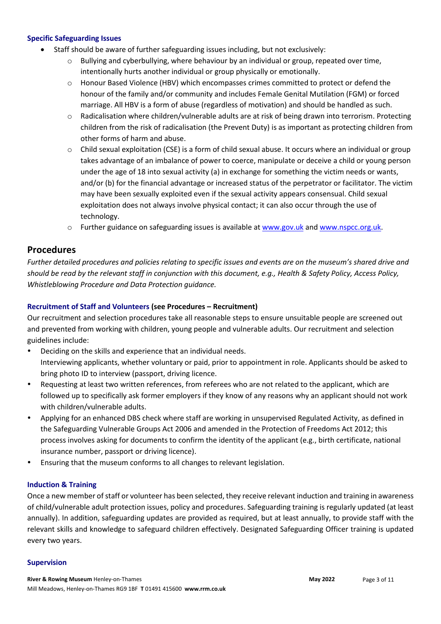#### **Specific Safeguarding Issues**

- Staff should be aware of further safeguarding issues including, but not exclusively:
	- $\circ$  Bullying and cyberbullying, where behaviour by an individual or group, repeated over time, intentionally hurts another individual or group physically or emotionally.
	- o Honour Based Violence (HBV) which encompasses crimes committed to protect or defend the honour of the family and/or community and includes Female Genital Mutilation (FGM) or forced marriage. All HBV is a form of abuse (regardless of motivation) and should be handled as such.
	- o Radicalisation where children/vulnerable adults are at risk of being drawn into terrorism. Protecting children from the risk of radicalisation (the Prevent Duty) is as important as protecting children from other forms of harm and abuse.
	- $\circ$  Child sexual exploitation (CSE) is a form of child sexual abuse. It occurs where an individual or group takes advantage of an imbalance of power to coerce, manipulate or deceive a child or young person under the age of 18 into sexual activity (a) in exchange for something the victim needs or wants, and/or (b) for the financial advantage or increased status of the perpetrator or facilitator. The victim may have been sexually exploited even if the sexual activity appears consensual. Child sexual exploitation does not always involve physical contact; it can also occur through the use of technology.
	- o Further guidance on safeguarding issues is available at [www.gov.uk](about:blank) an[d www.nspcc.org.uk.](about:blank)

## **Procedures**

*Further detailed procedures and policies relating to specific issues and events are on the museum's shared drive and should be read by the relevant staff in conjunction with this document, e.g., Health & Safety Policy, Access Policy, Whistleblowing Procedure and Data Protection guidance.* 

## **Recruitment of Staff and Volunteers (see Procedures – Recruitment)**

Our recruitment and selection procedures take all reasonable steps to ensure unsuitable people are screened out and prevented from working with children, young people and vulnerable adults. Our recruitment and selection guidelines include:

- Deciding on the skills and experience that an individual needs. Interviewing applicants, whether voluntary or paid, prior to appointment in role. Applicants should be asked to bring photo ID to interview (passport, driving licence.
- Requesting at least two written references, from referees who are not related to the applicant, which are followed up to specifically ask former employers if they know of any reasons why an applicant should not work with children/vulnerable adults.
- Applying for an enhanced DBS check where staff are working in unsupervised Regulated Activity, as defined in the Safeguarding Vulnerable Groups Act 2006 and amended in the Protection of Freedoms Act 2012; this process involves asking for documents to confirm the identity of the applicant (e.g., birth certificate, national insurance number, passport or driving licence).
- Ensuring that the museum conforms to all changes to relevant legislation.

#### **Induction & Training**

Once a new member of staff or volunteer has been selected, they receive relevant induction and training in awareness of child/vulnerable adult protection issues, policy and procedures. Safeguarding training is regularly updated (at least annually). In addition, safeguarding updates are provided as required, but at least annually, to provide staff with the relevant skills and knowledge to safeguard children effectively. Designated Safeguarding Officer training is updated every two years.

#### **Supervision**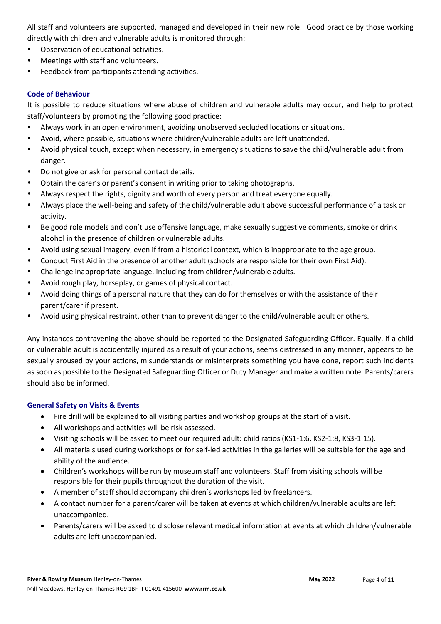All staff and volunteers are supported, managed and developed in their new role. Good practice by those working directly with children and vulnerable adults is monitored through:

- Observation of educational activities.
- Meetings with staff and volunteers.
- Feedback from participants attending activities.

## **Code of Behaviour**

It is possible to reduce situations where abuse of children and vulnerable adults may occur, and help to protect staff/volunteers by promoting the following good practice:

- Always work in an open environment, avoiding unobserved secluded locations or situations.
- Avoid, where possible, situations where children/vulnerable adults are left unattended.
- Avoid physical touch, except when necessary, in emergency situations to save the child/vulnerable adult from danger.
- Do not give or ask for personal contact details.
- Obtain the carer's or parent's consent in writing prior to taking photographs.
- Always respect the rights, dignity and worth of every person and treat everyone equally.
- Always place the well-being and safety of the child/vulnerable adult above successful performance of a task or activity.
- Be good role models and don't use offensive language, make sexually suggestive comments, smoke or drink alcohol in the presence of children or vulnerable adults.
- Avoid using sexual imagery, even if from a historical context, which is inappropriate to the age group.
- Conduct First Aid in the presence of another adult (schools are responsible for their own First Aid).
- Challenge inappropriate language, including from children/vulnerable adults.
- Avoid rough play, horseplay, or games of physical contact.
- Avoid doing things of a personal nature that they can do for themselves or with the assistance of their parent/carer if present.
- Avoid using physical restraint, other than to prevent danger to the child/vulnerable adult or others.

Any instances contravening the above should be reported to the Designated Safeguarding Officer. Equally, if a child or vulnerable adult is accidentally injured as a result of your actions, seems distressed in any manner, appears to be sexually aroused by your actions, misunderstands or misinterprets something you have done, report such incidents as soon as possible to the Designated Safeguarding Officer or Duty Manager and make a written note. Parents/carers should also be informed.

## **General Safety on Visits & Events**

- Fire drill will be explained to all visiting parties and workshop groups at the start of a visit.
- All workshops and activities will be risk assessed.
- Visiting schools will be asked to meet our required adult: child ratios (KS1-1:6, KS2-1:8, KS3-1:15).
- All materials used during workshops or for self-led activities in the galleries will be suitable for the age and ability of the audience.
- Children's workshops will be run by museum staff and volunteers. Staff from visiting schools will be responsible for their pupils throughout the duration of the visit.
- A member of staff should accompany children's workshops led by freelancers.
- A contact number for a parent/carer will be taken at events at which children/vulnerable adults are left unaccompanied.
- Parents/carers will be asked to disclose relevant medical information at events at which children/vulnerable adults are left unaccompanied.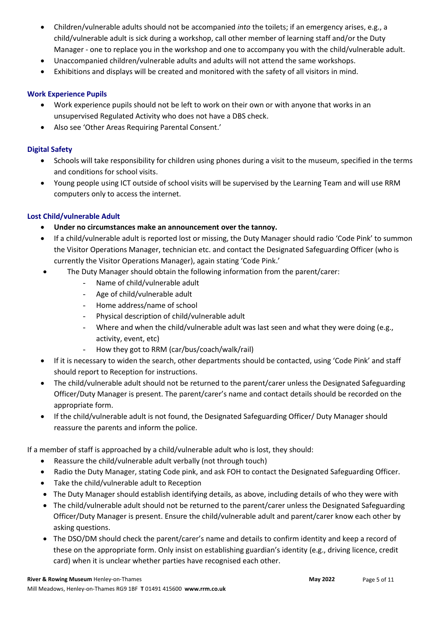- Children/vulnerable adults should not be accompanied *into* the toilets; if an emergency arises, e.g., a child/vulnerable adult is sick during a workshop, call other member of learning staff and/or the Duty Manager - one to replace you in the workshop and one to accompany you with the child/vulnerable adult.
- Unaccompanied children/vulnerable adults and adults will not attend the same workshops.
- Exhibitions and displays will be created and monitored with the safety of all visitors in mind.

## **Work Experience Pupils**

- Work experience pupils should not be left to work on their own or with anyone that works in an unsupervised Regulated Activity who does not have a DBS check.
- Also see 'Other Areas Requiring Parental Consent.'

## **Digital Safety**

- Schools will take responsibility for children using phones during a visit to the museum, specified in the terms and conditions for school visits.
- Young people using ICT outside of school visits will be supervised by the Learning Team and will use RRM computers only to access the internet.

## **Lost Child/vulnerable Adult**

- **Under no circumstances make an announcement over the tannoy.**
- If a child/vulnerable adult is reported lost or missing, the Duty Manager should radio 'Code Pink' to summon the Visitor Operations Manager, technician etc. and contact the Designated Safeguarding Officer (who is currently the Visitor Operations Manager), again stating 'Code Pink.'
- The Duty Manager should obtain the following information from the parent/carer:
	- Name of child/vulnerable adult
	- Age of child/vulnerable adult
	- Home address/name of school
	- Physical description of child/vulnerable adult
	- Where and when the child/vulnerable adult was last seen and what they were doing (e.g., activity, event, etc)
	- How they got to RRM (car/bus/coach/walk/rail)
- If it is necessary to widen the search, other departments should be contacted, using 'Code Pink' and staff should report to Reception for instructions.
- The child/vulnerable adult should not be returned to the parent/carer unless the Designated Safeguarding Officer/Duty Manager is present. The parent/carer's name and contact details should be recorded on the appropriate form.
- If the child/vulnerable adult is not found, the Designated Safeguarding Officer/ Duty Manager should reassure the parents and inform the police.

If a member of staff is approached by a child/vulnerable adult who is lost, they should:

- Reassure the child/vulnerable adult verbally (not through touch)
- Radio the Duty Manager, stating Code pink, and ask FOH to contact the Designated Safeguarding Officer.
- Take the child/vulnerable adult to Reception
- The Duty Manager should establish identifying details, as above, including details of who they were with
- The child/vulnerable adult should not be returned to the parent/carer unless the Designated Safeguarding Officer/Duty Manager is present. Ensure the child/vulnerable adult and parent/carer know each other by asking questions.
- The DSO/DM should check the parent/carer's name and details to confirm identity and keep a record of these on the appropriate form. Only insist on establishing guardian's identity (e.g., driving licence, credit card) when it is unclear whether parties have recognised each other.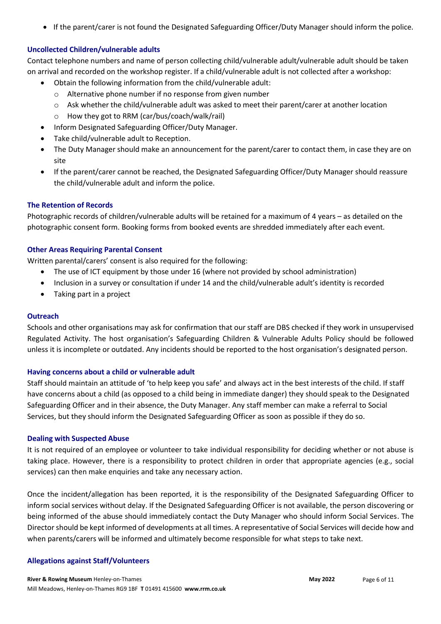• If the parent/carer is not found the Designated Safeguarding Officer/Duty Manager should inform the police.

#### **Uncollected Children/vulnerable adults**

Contact telephone numbers and name of person collecting child/vulnerable adult/vulnerable adult should be taken on arrival and recorded on the workshop register. If a child/vulnerable adult is not collected after a workshop:

- Obtain the following information from the child/vulnerable adult:
	- o Alternative phone number if no response from given number
	- o Ask whether the child/vulnerable adult was asked to meet their parent/carer at another location
	- o How they got to RRM (car/bus/coach/walk/rail)
- Inform Designated Safeguarding Officer/Duty Manager.
- Take child/vulnerable adult to Reception.
- The Duty Manager should make an announcement for the parent/carer to contact them, in case they are on site
- If the parent/carer cannot be reached, the Designated Safeguarding Officer/Duty Manager should reassure the child/vulnerable adult and inform the police.

#### **The Retention of Records**

Photographic records of children/vulnerable adults will be retained for a maximum of 4 years – as detailed on the photographic consent form. Booking forms from booked events are shredded immediately after each event.

#### **Other Areas Requiring Parental Consent**

Written parental/carers' consent is also required for the following:

- The use of ICT equipment by those under 16 (where not provided by school administration)
- Inclusion in a survey or consultation if under 14 and the child/vulnerable adult's identity is recorded
- Taking part in a project

#### **Outreach**

Schools and other organisations may ask for confirmation that our staff are DBS checked if they work in unsupervised Regulated Activity. The host organisation's Safeguarding Children & Vulnerable Adults Policy should be followed unless it is incomplete or outdated. Any incidents should be reported to the host organisation's designated person.

#### **Having concerns about a child or vulnerable adult**

Staff should maintain an attitude of 'to help keep you safe' and always act in the best interests of the child. If staff have concerns about a child (as opposed to a child being in immediate danger) they should speak to the Designated Safeguarding Officer and in their absence, the Duty Manager. Any staff member can make a referral to Social Services, but they should inform the Designated Safeguarding Officer as soon as possible if they do so.

#### **Dealing with Suspected Abuse**

It is not required of an employee or volunteer to take individual responsibility for deciding whether or not abuse is taking place. However, there is a responsibility to protect children in order that appropriate agencies (e.g., social services) can then make enquiries and take any necessary action.

Once the incident/allegation has been reported, it is the responsibility of the Designated Safeguarding Officer to inform social services without delay. If the Designated Safeguarding Officer is not available, the person discovering or being informed of the abuse should immediately contact the Duty Manager who should inform Social Services. The Directorshould be kept informed of developments at all times. A representative of Social Services will decide how and when parents/carers will be informed and ultimately become responsible for what steps to take next.

#### **Allegations against Staff/Volunteers**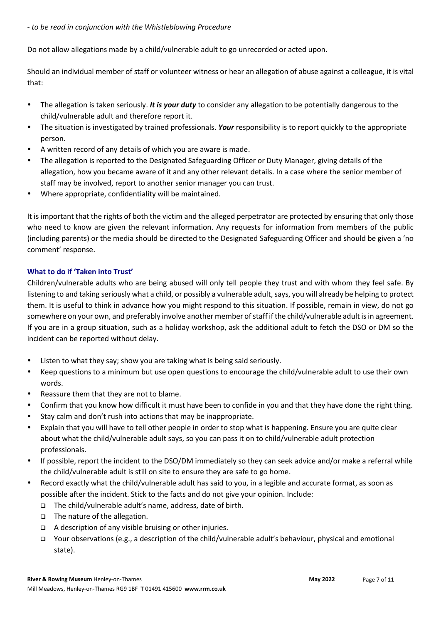*- to be read in conjunction with the Whistleblowing Procedure*

Do not allow allegations made by a child/vulnerable adult to go unrecorded or acted upon.

Should an individual member of staff or volunteer witness or hear an allegation of abuse against a colleague, it is vital that:

- The allegation is taken seriously. *It is your duty* to consider any allegation to be potentially dangerous to the child/vulnerable adult and therefore report it.
- The situation is investigated by trained professionals. *Your* responsibility is to report quickly to the appropriate person.
- A written record of any details of which you are aware is made.
- The allegation is reported to the Designated Safeguarding Officer or Duty Manager, giving details of the allegation, how you became aware of it and any other relevant details. In a case where the senior member of staff may be involved, report to another senior manager you can trust.
- Where appropriate, confidentiality will be maintained.

It is important that the rights of both the victim and the alleged perpetrator are protected by ensuring that only those who need to know are given the relevant information. Any requests for information from members of the public (including parents) or the media should be directed to the Designated Safeguarding Officer and should be given a 'no comment' response.

## **What to do if 'Taken into Trust'**

Children/vulnerable adults who are being abused will only tell people they trust and with whom they feel safe. By listening to and taking seriously what a child, or possibly a vulnerable adult, says, you will already be helping to protect them. It is useful to think in advance how you might respond to this situation. If possible, remain in view, do not go somewhere on your own, and preferably involve another member of staff if the child/vulnerable adult is in agreement. If you are in a group situation, such as a holiday workshop, ask the additional adult to fetch the DSO or DM so the incident can be reported without delay.

- Listen to what they say; show you are taking what is being said seriously.
- Keep questions to a minimum but use open questions to encourage the child/vulnerable adult to use their own words.
- Reassure them that they are not to blame.
- Confirm that you know how difficult it must have been to confide in you and that they have done the right thing.
- Stay calm and don't rush into actions that may be inappropriate.
- Explain that you will have to tell other people in order to stop what is happening. Ensure you are quite clear about what the child/vulnerable adult says, so you can pass it on to child/vulnerable adult protection professionals.
- If possible, report the incident to the DSO/DM immediately so they can seek advice and/or make a referral while the child/vulnerable adult is still on site to ensure they are safe to go home.
- Record exactly what the child/vulnerable adult has said to you, in a legible and accurate format, as soon as possible after the incident. Stick to the facts and do not give your opinion. Include:
	- ❑ The child/vulnerable adult's name, address, date of birth.
	- ❑ The nature of the allegation.
	- ❑ A description of any visible bruising or other injuries.
	- ❑ Your observations (e.g., a description of the child/vulnerable adult's behaviour, physical and emotional state).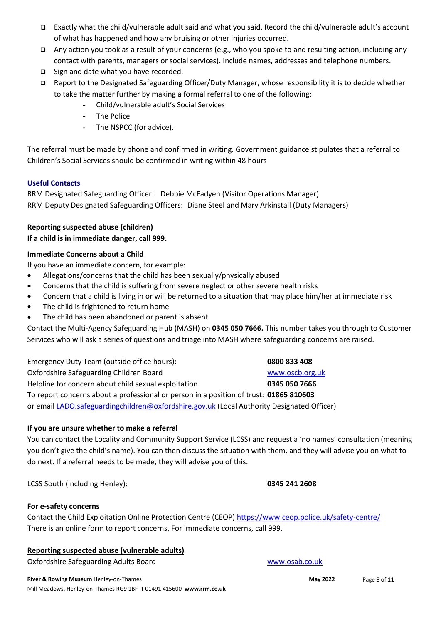- ❑ Exactly what the child/vulnerable adult said and what you said. Record the child/vulnerable adult's account of what has happened and how any bruising or other injuries occurred.
- ❑ Any action you took as a result of your concerns (e.g., who you spoke to and resulting action, including any contact with parents, managers or social services). Include names, addresses and telephone numbers.
- ❑ Sign and date what you have recorded.
- ❑ Report to the Designated Safeguarding Officer/Duty Manager, whose responsibility it is to decide whether to take the matter further by making a formal referral to one of the following:
	- Child/vulnerable adult's Social Services
	- The Police
	- The NSPCC (for advice).

The referral must be made by phone and confirmed in writing. Government guidance stipulates that a referral to Children's Social Services should be confirmed in writing within 48 hours

## **Useful Contacts**

RRM Designated Safeguarding Officer: Debbie McFadyen (Visitor Operations Manager) RRM Deputy Designated Safeguarding Officers: Diane Steel and Mary Arkinstall (Duty Managers)

## **Reporting suspected abuse (children)**

**If a child is in immediate danger, call 999.**

## **Immediate Concerns about a Child**

If you have an immediate concern, for example:

- Allegations/concerns that the child has been sexually/physically abused
- Concerns that the child is suffering from severe neglect or other severe health risks
- Concern that a child is living in or will be returned to a situation that may place him/her at immediate risk
- The child is frightened to return home
- The child has been abandoned or parent is absent

Contact the Multi-Agency Safeguarding Hub (MASH) on **0345 050 7666.** This number takes you through to Customer Services who will ask a series of questions and triage into MASH where safeguarding concerns are raised.

Emergency Duty Team (outside office hours): **0800 833 408** Oxfordshire Safeguarding Children Board [www.oscb.org.uk](about:blank) Helpline for concern about child sexual exploitation **0345 050 7666** To report concerns about a professional or person in a position of trust: **01865 810603** or email [LADO.safeguardingchildren@oxfordshire.gov.uk](about:blank) (Local Authority Designated Officer)

#### **If you are unsure whether to make a referral**

You can contact the Locality and Community Support Service (LCSS) and request a 'no names' consultation (meaning you don't give the child's name). You can then discuss the situation with them, and they will advise you on what to do next. If a referral needs to be made, they will advise you of this.

LCSS South (including Henley): **0345 241 2608**

## **For e-safety concerns**

Contact the Child Exploitation Online Protection Centre (CEOP[\) https://www.ceop.police.uk/safety-centre/](about:blank) There is an online form to report concerns. For immediate concerns, call 999.

#### **Reporting suspected abuse (vulnerable adults)**

Oxfordshire Safeguarding Adults Board Wales and Warehouse Board Warehouse Board Warehouse Board Warehouse Board

**River & Rowing Museum** Henley-on-Thames **May 2022 May 2022 May 2022** Mill Meadows, Henley-on-Thames RG9 1BF **T** 01491 415600 **www.rrm.co.uk**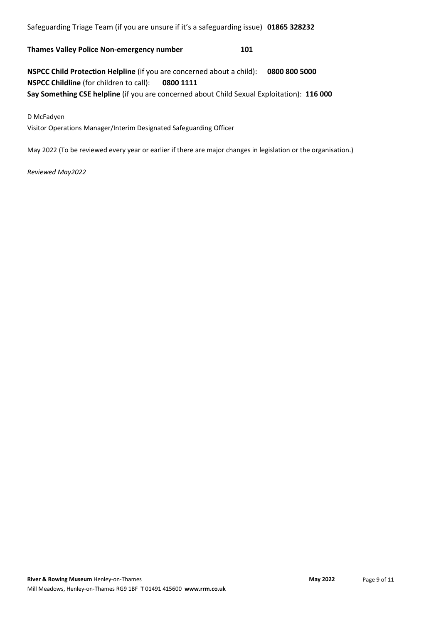Safeguarding Triage Team (if you are unsure if it's a safeguarding issue) **01865 328232**

**Thames Valley Police Non-emergency number 101**

**NSPCC Child Protection Helpline** (if you are concerned about a child): **0800 800 5000 NSPCC Childline** (for children to call): **0800 1111 Say Something CSE helpline** (if you are concerned about Child Sexual Exploitation): **116 000**

D McFadyen

Visitor Operations Manager/Interim Designated Safeguarding Officer

May 2022 (To be reviewed every year or earlier if there are major changes in legislation or the organisation.)

#### *Reviewed May2022*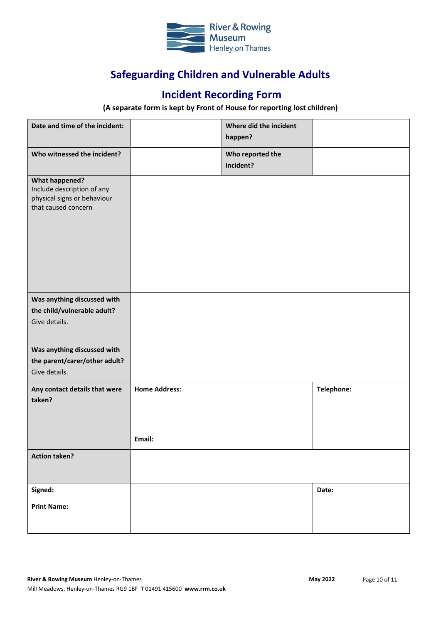

# **Safeguarding Children and Vulnerable Adults**

# **Incident Recording Form**

## **(A separate form is kept by Front of House for reporting lost children)**

| Date and time of the incident:                                                                            |                      | Where did the incident<br>happen? |            |
|-----------------------------------------------------------------------------------------------------------|----------------------|-----------------------------------|------------|
| Who witnessed the incident?                                                                               |                      | Who reported the<br>incident?     |            |
| <b>What happened?</b><br>Include description of any<br>physical signs or behaviour<br>that caused concern |                      |                                   |            |
| Was anything discussed with<br>the child/vulnerable adult?<br>Give details.                               |                      |                                   |            |
| Was anything discussed with<br>the parent/carer/other adult?<br>Give details.                             |                      |                                   |            |
| Any contact details that were<br>taken?                                                                   | <b>Home Address:</b> |                                   | Telephone: |
|                                                                                                           | Email:               |                                   |            |
| <b>Action taken?</b>                                                                                      |                      |                                   |            |
| Signed:<br><b>Print Name:</b>                                                                             |                      |                                   | Date:      |